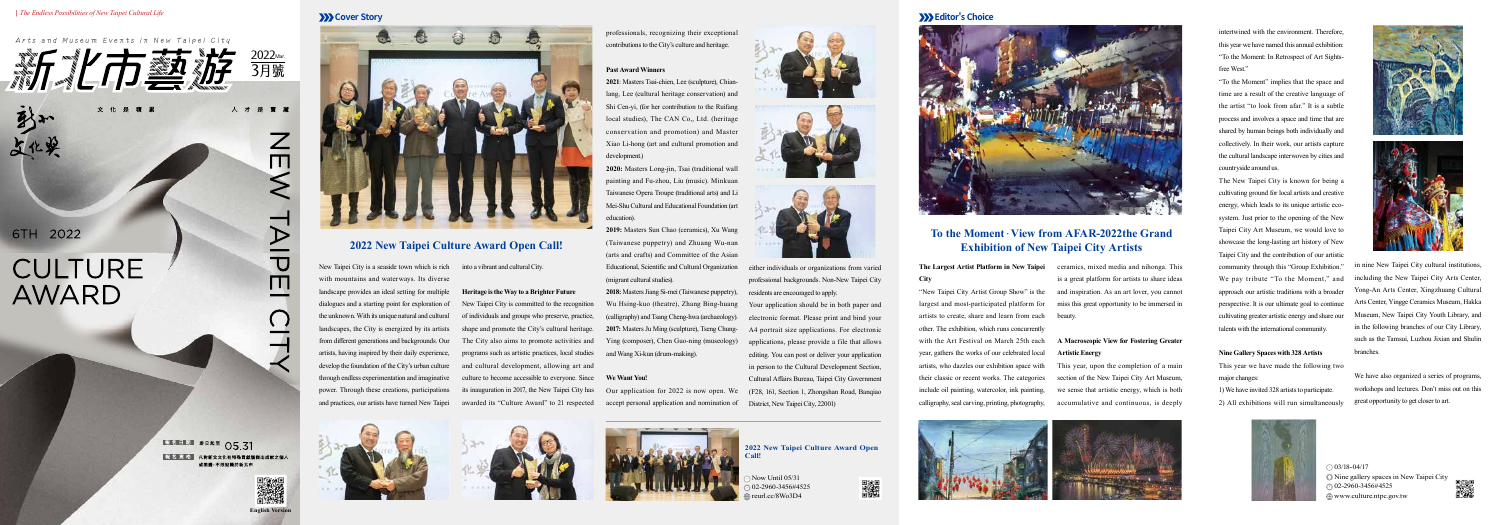### **Arts and Museum Events in New Taipei City**



6TH 2022

砂

上化学

# **CULTURE** AWARD

報名日期 即日起至 05.31 報 名 資 格 凡對新北文化有特殊貢獻獲傑出成就之個人 或團體,不限設籍於新北市

人才是寶

 $\frac{Z}{\Pi}$ 

AIA

 $\overline{\mathsf{m}}$ 

New Taipei City is a seaside town which is rich into a vibrant and cultural City. with mountains and waterways. Its diverse landscape provides an ideal setting for multiple dialogues and a starting point for exploration of the unknown. With its unique natural and cultural landscapes, the City is energized by its artists from different generations and backgrounds. Our artists, having inspired by their daily experience, develop the foundation of the City's urban culture through endless experimentation and imaginative power. Through these creations, participations and practices, our artists have turned New Taipei





### **The Largest Artist Platform in New Taipei City**

"New Taipei City Artist Group Show" is the largest and most-participated platform for artists to create, share and learn from each other. The exhibition, which runs concurrently with the Art Festival on March 25th each year, gathers the works of our celebrated local artists, who dazzles our exhibition space with their classic or recent works. The categories include oil painting, watercolor, ink painting, calligraphy, seal carving, printing, photography,

## **2022 New Taipei Culture Award Open Call!**

## **To the Moment**.**View from AFAR-2022the Grand Exhibition of New Taipei City Artists**

**Heritage is the Way to a Brighter Future**  New Taipei City is committed to the recognition of individuals and groups who preserve, practice, shape and promote the City's cultural heritage. The City also aims to promote activities and programs such as artistic practices, local studies and cultural development, allowing art and

 $\odot$  03/18-04/17 Nine gallery spaces in New Taipei City 02-2960-3456#4525 www.culture.ntpc.gov.tw



 $\text{low Uniti}$  05/31 **Call!** 

its inauguration in 2017, the New Taipei City has awarded its "Culture Award" to 21 respected

### **Past Award Winners**

**2021**: Masters Tsai-chien, Lee (sculpture), Chianlang, Lee (cultural heritage conservation) and Shi Cen-yi, (for her contribution to the Ruifang local studies), The CAN Co,, Ltd. (heritage conservation and promotion) and Master Xiao Li-hong (art and cultural promotion and development.)

### culture to become accessible to everyone. Since **We Want You!**

**2020:** Masters Long-jin, Tsai (traditional wall painting and Fu-zhou, Liu (music). Minkuan Taiwanese Opera Troupe (traditional arts) and Li Mei-Shu Cultural and Educational Foundation (art education).

professionals, recognizing their exceptional contributions to the City's culture and heritage. **Cover Story Editor's Choice**

> **2019:** Masters Sun Chao (ceramics), Xu Wang (Taiwanese puppetry) and Zhuang Wu-nan (arts and crafts) and Committee of the Asian Educational, Scientific and Cultural Organization (migrant cultural studies).

> **2018:** Masters Jiang Si-mei (Taiwanese puppetry), Wu Hsing-kuo (theatre), Zhang Bing-huang (calligraphy) and Tsang Cheng-hwa (archaeology). **2017:** Masters Ju Ming (sculpture), Tseng Chung-Ying (composer), Chen Guo-ning (museology) and Wang Xi-kun (drum-making).

> > 02-2960-3456#4525 reurl.cc/8Wo3D4







## **2022 New Taipei Culture Award Open**









either individuals or organizations from varied professional backgrounds. Non-New Taipei City residents are encouraged to apply.

Our application for 2022 is now open. We accept personal application and nomination of District, New Taipei City, 22001)



Your application should be in both paper and electronic format. Please print and bind your A4 portrait size applications. For electronic applications, please provide a file that allows editing. You can post or deliver your application in person to the Cultural Development Section, Cultural Affairs Bureau, Taipei City Government (F28, 161, Section 1, Zhongshan Road, Banqiao

ceramics, mixed media and nihonga. This is a great platform for artists to share ideas and inspiration. As an art lover, you cannot miss this great opportunity to be immersed in beauty.

## **A Macroscopic View for Fostering Greater Artistic Energy**

This year, upon the completion of a main section of the New Taipei City Art Museum, we sense that artistic energy, which is both accumulative and continuous, is deeply



intertwined with the environment. Therefore, this year we have named this annual exhibition: "To the Moment: In Retrospect of Art Sightsfree West."

"To the Moment" implies that the space and time are a result of the creative language of the artist "to look from afar." It is a subtle process and involves a space and time that are shared by human beings both individually and collectively. In their work, our artists capture the cultural landscape interwoven by cities and countryside around us.

The New Taipei City is known for being a cultivating ground for local artists and creative energy, which leads to its unique artistic ecosystem. Just prior to the opening of the New Taipei City Art Museum, we would love to showcase the long-lasting art history of New Taipei City and the contribution of our artistic community through this "Group Exhibition." We pay tribute "To the Moment," and approach our artistic traditions with a broader perspective. It is our ultimate goal to continue cultivating greater artistic energy and share our talents with the international community.

### **Nine Gallery Spaces with 328 Artists**

This year we have made the following two major changes:

1) We have invited 328 artists to participate. 2) All exhibitions will run simultaneously







in nine New Taipei City cultural institutions, including the New Taipei City Arts Center, Yong-An Arts Center, Xingzhuang Cultural Arts Center, Yingge Ceramics Museum, Hakka Museum, New Taipei City Youth Library, and in the following branches of our City Library, such as the Tamsui, Luzhou Jixian and Shulin branches.

We have also organized a series of programs, workshops and lectures. Don't miss out on this great opportunity to get closer to art.

### *| The Endless Possibilities of New Taipei Cultural Life*